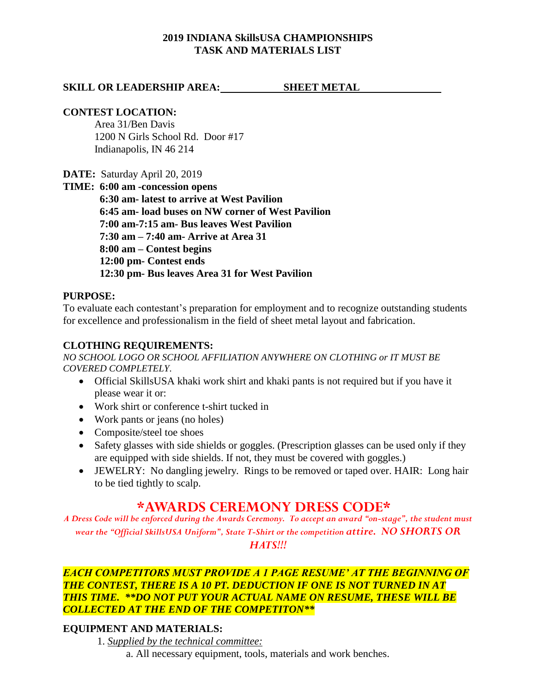## **2019 INDIANA SkillsUSA CHAMPIONSHIPS TASK AND MATERIALS LIST**

## **SKILL OR LEADERSHIP AREA:** SHEET METAL

### **CONTEST LOCATION:**

Area 31/Ben Davis 1200 N Girls School Rd. Door #17 Indianapolis, IN 46 214

**DATE:** Saturday April 20, 2019

**TIME: 6:00 am -concession opens 6:30 am- latest to arrive at West Pavilion 6:45 am- load buses on NW corner of West Pavilion 7:00 am-7:15 am- Bus leaves West Pavilion 7:30 am – 7:40 am- Arrive at Area 31 8:00 am – Contest begins 12:00 pm- Contest ends 12:30 pm- Bus leaves Area 31 for West Pavilion**

### **PURPOSE:**

To evaluate each contestant's preparation for employment and to recognize outstanding students for excellence and professionalism in the field of sheet metal layout and fabrication.

#### **CLOTHING REQUIREMENTS:**

*NO SCHOOL LOGO OR SCHOOL AFFILIATION ANYWHERE ON CLOTHING or IT MUST BE COVERED COMPLETELY.* 

- Official SkillsUSA khaki work shirt and khaki pants is not required but if you have it please wear it or:
- Work shirt or conference t-shirt tucked in
- Work pants or jeans (no holes)
- Composite/steel toe shoes
- Safety glasses with side shields or goggles. (Prescription glasses can be used only if they are equipped with side shields. If not, they must be covered with goggles.)
- JEWELRY: No dangling jewelry. Rings to be removed or taped over. HAIR: Long hair to be tied tightly to scalp.

# **\*AWARDS CEREMONY DRESS CODE\***

*A Dress Code will be enforced during the Awards Ceremony. To accept an award "on-stage", the student must wear the "Official SkillsUSA Uniform", State T-Shirt or the competition attire. NO SHORTS OR HATS!!!*

## *EACH COMPETITORS MUST PROVIDE A 1 PAGE RESUME' AT THE BEGINNING OF THE CONTEST, THERE IS A 10 PT. DEDUCTION IF ONE IS NOT TURNED IN AT THIS TIME. \*\*DO NOT PUT YOUR ACTUAL NAME ON RESUME, THESE WILL BE COLLECTED AT THE END OF THE COMPETITON\*\**

### **EQUIPMENT AND MATERIALS:**

1. *Supplied by the technical committee:*

a. All necessary equipment, tools, materials and work benches.